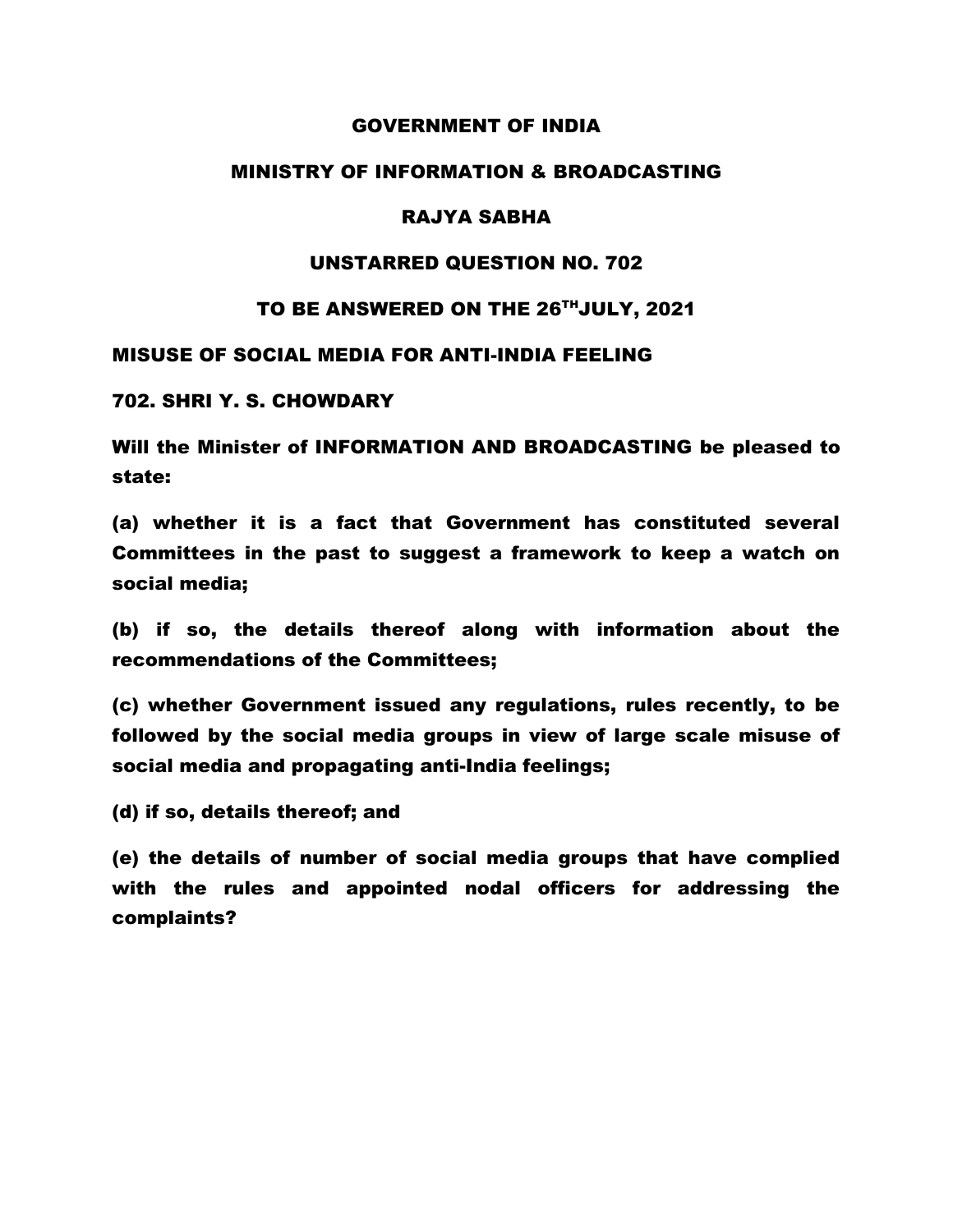## GOVERNMENT OF INDIA

## MINISTRY OF INFORMATION & BROADCASTING

# RAJYA SABHA

## UNSTARRED QUESTION NO. 702

## TO BE ANSWERED ON THE 26THJULY, 2021

### MISUSE OF SOCIAL MEDIA FOR ANTI-INDIA FEELING

#### 702. SHRI Y. S. CHOWDARY

Will the Minister of INFORMATION AND BROADCASTING be pleased to state:

(a) whether it is a fact that Government has constituted several Committees in the past to suggest a framework to keep a watch on social media;

(b) if so, the details thereof along with information about the recommendations of the Committees;

(c) whether Government issued any regulations, rules recently, to be followed by the social media groups in view of large scale misuse of social media and propagating anti-India feelings;

(d) if so, details thereof; and

(e) the details of number of social media groups that have complied with the rules and appointed nodal officers for addressing the complaints?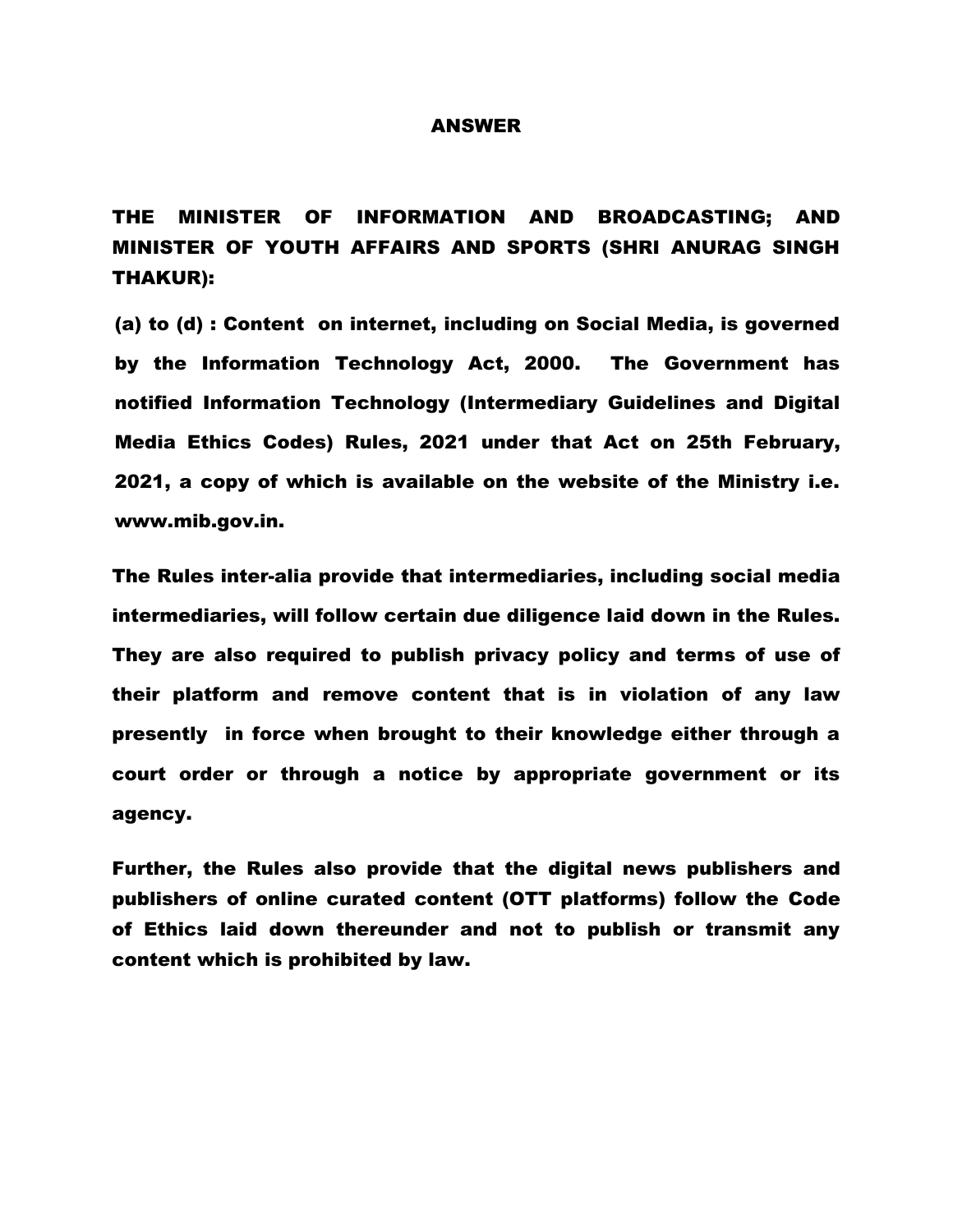#### ANSWER

THE MINISTER OF INFORMATION AND BROADCASTING; AND MINISTER OF YOUTH AFFAIRS AND SPORTS (SHRI ANURAG SINGH THAKUR):

(a) to (d) : Content on internet, including on Social Media, is governed by the Information Technology Act, 2000. The Government has notified Information Technology (Intermediary Guidelines and Digital Media Ethics Codes) Rules, 2021 under that Act on 25th February, 2021, a copy of which is available on the website of the Ministry i.e. [www.mib.gov.in.](http://www.mib.gov.in/)

The Rules inter-alia provide that intermediaries, including social media intermediaries, will follow certain due diligence laid down in the Rules. They are also required to publish privacy policy and terms of use of their platform and remove content that is in violation of any law presently in force when brought to their knowledge either through a court order or through a notice by appropriate government or its agency.

Further, the Rules also provide that the digital news publishers and publishers of online curated content (OTT platforms) follow the Code of Ethics laid down thereunder and not to publish or transmit any content which is prohibited by law.